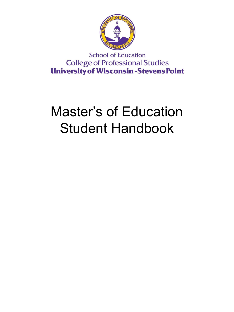

**School of Education College of Professional Studies University of Wisconsin-Stevens Point** 

# Master's of Education Student Handbook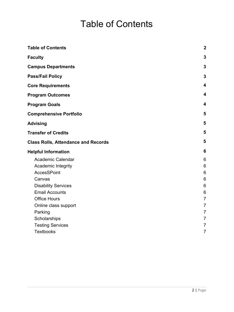## Table of Contents

<span id="page-1-0"></span>

| <b>Table of Contents</b>                   | $\boldsymbol{2}$        |
|--------------------------------------------|-------------------------|
| <b>Faculty</b>                             | 3                       |
| <b>Campus Departments</b>                  | 3                       |
| <b>Pass/Fail Policy</b>                    | $\mathbf{3}$            |
| <b>Core Requirements</b>                   | $\overline{\mathbf{4}}$ |
| <b>Program Outcomes</b>                    | $\overline{\mathbf{4}}$ |
| <b>Program Goals</b>                       | 4                       |
| <b>Comprehensive Portfolio</b>             | 5                       |
| <b>Advising</b>                            | 5                       |
| <b>Transfer of Credits</b>                 | 5                       |
| <b>Class Rolls, Attendance and Records</b> | 5                       |
| <b>Helpful Information</b>                 | 6                       |
| <b>Academic Calendar</b>                   | 6                       |
| Academic Integrity                         | 6                       |
| <b>AccesSPoint</b>                         | 6                       |
| Canvas                                     | 6                       |
| <b>Disability Services</b>                 | 6                       |
| <b>Email Accounts</b>                      | 6                       |
| <b>Office Hours</b>                        | $\overline{7}$          |
| Online class support                       | $\overline{7}$          |
| Parking                                    | $\overline{7}$          |
| Scholarships                               | $\overline{7}$          |
| <b>Testing Services</b>                    | $\overline{7}$          |
| <b>Textbooks</b>                           | $\overline{7}$          |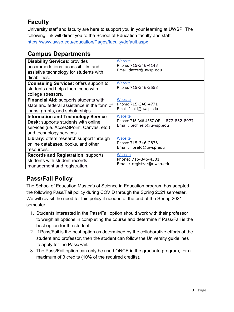## <span id="page-2-0"></span>**Faculty**

University staff and faculty are here to support you in your learning at UWSP. The following link will direct you to the School of Education faculty and staff: <https://www.uwsp.edu/education/Pages/faculty/default.aspx>

## <span id="page-2-1"></span>**Campus Departments**

| <b>Disability Services: provides</b><br>accommodations, accessibility, and<br>assistive technology for students with<br>disabilities.                     | <b>Website</b><br>Phone: 715-346-4143<br>Email: datctr@uwsp.edu                     |
|-----------------------------------------------------------------------------------------------------------------------------------------------------------|-------------------------------------------------------------------------------------|
| <b>Counseling Services: offers support to</b><br>students and helps them cope with<br>college stressors.                                                  | <b>Website</b><br>Phone: 715-346-3553                                               |
| <b>Financial Aid: supports students with</b>                                                                                                              | <b>Website</b>                                                                      |
| state and federal assistance in the form of                                                                                                               | Phone: 715-346-4771                                                                 |
| loans, grants, and scholarships.                                                                                                                          | Email: finaid@uwsp.edu                                                              |
| <b>Information and Technology Service</b><br>Desk: supports students with online<br>services (i.e. AccesSPoint, Canvas, etc.)<br>and technology services. | <b>Website</b><br>Phone: 715-346-4357 OR 1-877-832-8977<br>Email: techhelp@uwsp.edu |
| Library: offers research support through                                                                                                                  | <b>Website</b>                                                                      |
| online databases, books, and other                                                                                                                        | Phone: 715-346-2836                                                                 |
| resources.                                                                                                                                                | Email: librefd@uwsp.edu                                                             |
| <b>Records and Registration: supports</b>                                                                                                                 | <b>Website</b>                                                                      |
| students with student records                                                                                                                             | Phone: 715-346-4301                                                                 |
| management and registration.                                                                                                                              | Email: registrar@uwsp.edu                                                           |

## **Pass/Fail Policy**

The School of Education Master's of Science in Education program has adopted the following Pass/Fail policy during COVID through the Spring 2021 semester. We will revisit the need for this policy if needed at the end of the Spring 2021 semester.

- 1. Students interested in the Pass/Fail option should work with their professor to weigh all options in completing the course and determine if Pass/Fail is the best option for the student.
- 2. If Pass/Fail is the best option as determined by the collaborative efforts of the student and professor, then the student can follow the University guidelines to apply for the Pass/Fail.
- 3. The Pass/Fail option can only be used ONCE in the graduate program, for a maximum of 3 credits (10% of the required credits).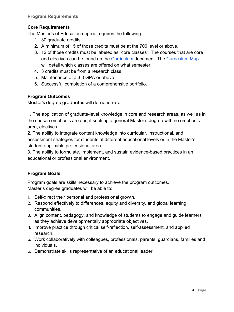## <span id="page-3-0"></span>**Core Requirements**

The Master's of Education degree requires the following:

- 1. 30 graduate credits.
- 2. A minimum of 15 of those credits must be at the 700 level or above.
- 3. 12 of those credits must be labeled as "core classes". The courses that are core and electives can be found on the [Curriculum](https://www.uwsp.edu/education/Documents/Courses.pdf) document. The [Curriculum Map](https://docs.google.com/spreadsheets/d/1JTR5AYI0p9Ni2IU3G6zuLMc9TD3Tgm1ebFujhOBx950/edit#gid=286479855.) will detail which classes are offered on what semester.
- 4. 3 credits must be from a research class.
- 5. Maintenance of a 3.0 GPA or above.
- 6. Successful completion of a comprehensive portfolio.

## <span id="page-3-1"></span>**Program Outcomes**

Master's degree graduates will demonstrate:

1. The application of graduate-level knowledge in core and research areas, as well as in the chosen emphasis area or, if seeking a general Master's degree with no emphasis area, electives.

2. The ability to integrate content knowledge into curricular, instructional, and assessment strategies for students at different educational levels or in the Master's student applicable professional area.

3. The ability to formulate, implement, and sustain evidence-based practices in an educational or professional environment.

## <span id="page-3-2"></span>**Program Goals**

Program goals are skills necessary to achieve the program outcomes. Master's degree graduates will be able to:

- 1. Self-direct their personal and professional growth.
- 2. Respond effectively to differences, equity and diversity, and global learning communities.
- 3. Align content, pedagogy, and knowledge of students to engage and guide learners as they achieve developmentally appropriate objectives.
- 4. Improve practice through critical self-reflection, self-assessment, and applied research.
- 5. Work collaboratively with colleagues, professionals, parents, guardians, families and individuals.
- 6. Demonstrate skills representative of an educational leader.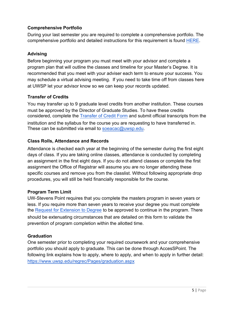## <span id="page-4-0"></span>**Comprehensive Portfolio**

During your last semester you are required to complete a comprehensive portfolio. The comprehensive portfolio and detailed instructions for this requirement is found [HERE.](https://www.uwsp.edu/education/SiteAssets/Pages/Graduate/student-resources/Comprehensive%20Portfolio%20Guidebook%20-%20SOEUWSP.pdf)

## <span id="page-4-1"></span>**Advising**

Before beginning your program you must meet with your advisor and complete a program plan that will outline the classes and timeline for your Master's Degree. It is recommended that you meet with your adviser each term to ensure your success. You may schedule a virtual advising meeting. If you need to take time off from classes here at UWSP let your advisor know so we can keep your records updated.

## <span id="page-4-2"></span>**Transfer of Credits**

You may transfer up to 9 graduate level credits from another institution. These courses must be approved by the Director of Graduate Studies. To have these credits considered, complete the [Transfer of Credit Form](https://www.uwsp.edu/education/Documents/Graduate/transfercredit.pdf) and submit official transcripts from the institution and the syllabus for the course you are requesting to have transferred in. These can be submitted via email to [soeacac@uwsp.edu.](mailto:soeacac@uwsp.edu)

## <span id="page-4-3"></span>**Class Rolls, Attendance and Records**

Attendance is checked each year at the beginning of the semester during the first eight days of class. If you are taking online classes, attendance is conducted by completing an assignment in the first eight days. If you do not attend classes or complete the first assignment the Office of Registrar will assume you are no longer attending these specific courses and remove you from the classlist. Without following appropriate drop procedures, you will still be held financially responsible for the course.

## **Program Term Limit**

UW-Stevens Point requires that you complete the masters program in seven years or less. If you require more than seven years to receive your degree you must complete the [Request for Extension to Degree](https://www.uwsp.edu/education/Pages/Graduate/forms.aspx) to be approved to continue in the program. There should be extenuating circumstances that are detailed on this form to validate the prevention of program completion within the allotted time.

## **Graduation**

One semester prior to completing your required coursework and your comprehensive portfolio you should apply to graduate. This can be done through AccesSPoint. The following link explains how to apply, where to apply, and when to apply in further detail: <https://www.uwsp.edu/regrec/Pages/graduation.aspx>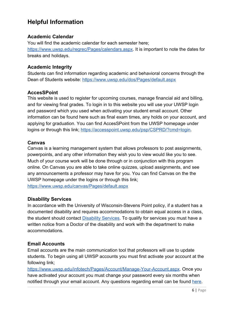## <span id="page-5-0"></span>**Helpful Information**

## <span id="page-5-1"></span>**Academic Calendar**

You will find the academic calendar for each semester here; <https://www.uwsp.edu/regrec/Pages/calendars.aspx>. It is important to note the dates for breaks and holidays.

## <span id="page-5-2"></span>**Academic Integrity**

Students can find information regarding academic and behavioral concerns through the Dean of Students website:<https://www.uwsp.edu/dos/Pages/default.aspx>

## <span id="page-5-3"></span>**AccesSPoint**

This website is used to register for upcoming courses, manage financial aid and billing, and for viewing final grades. To login in to this website you will use your UWSP login and password which you used when activating your student email account. Other information can be found here such as final exam times, any holds on your account, and applying for graduation. You can find AccesSPoint from the UWSP homepage under logins or through this link; [https://accesspoint.uwsp.edu/psp/CSPRD/?cmd=login.](https://accesspoint.uwsp.edu/psp/CSPRD/?cmd=login)

## <span id="page-5-4"></span>**Canvas**

Canvas is a learning management system that allows professors to post assignments, powerpoints, and any other information they wish you to view would like you to see. Much of your course work will be done through or in conjunction with this program online. On Canvas you are able to take online quizzes, upload assignments, and see any announcements a professor may have for you. You can find Canvas on the the UWSP homepage under the logins or through this link; <https://www.uwsp.edu/canvas/Pages/default.aspx>

## <span id="page-5-5"></span>**Disability Services**

In accordance with the University of Wisconsin-Stevens Point policy, if a student has a documented disability and requires accommodations to obtain equal access in a class, the student should contact **Disability Services**. To qualify for services you must have a written notice from a Doctor of the disability and work with the department to make accommodations.

## <span id="page-5-6"></span>**Email Accounts**

Email accounts are the main communication tool that professors will use to update students. To begin using all UWSP accounts you must first activate your account at the following link;

<https://www.uwsp.edu/infotech/Pages/Account/Manage-Your-Account.aspx>. Once you have activated your account you must change your password every six months when notified through your email account. Any questions regarding email can be found [here.](https://www.uwsp.edu/infotech/Pages/Tutorials/default.aspx)